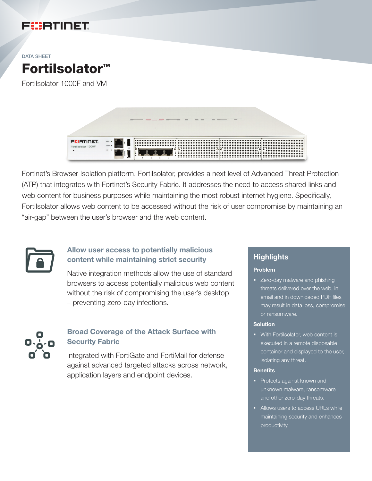



FortiIsolator 1000F and VM



Fortinet's Browser Isolation platform, FortiIsolator, provides a next level of Advanced Threat Protection (ATP) that integrates with Fortinet's Security Fabric. It addresses the need to access shared links and web content for business purposes while maintaining the most robust internet hygiene. Specifically, Fortilsolator allows web content to be accessed without the risk of user compromise by maintaining an "air-gap" between the user's browser and the web content.



## Allow user access to potentially malicious content while maintaining strict security

Native integration methods allow the use of standard browsers to access potentially malicious web content without the risk of compromising the user's desktop – preventing zero-day infections.



## Broad Coverage of the Attack Surface with Security Fabric

Integrated with FortiGate and FortiMail for defense against advanced targeted attacks across network, application layers and endpoint devices.

### **Highlights**

#### Problem

• Zero-day malware and phishing threats delivered over the web, in email and in downloaded PDF files may result in data loss, compromise or ransomware.

#### **Solution**

■ With FortiIsolator, web content is executed in a remote disposable container and displayed to the user, isolating any threat.

#### **Benefits**

- Protects against known and unknown malware, ransomware and other zero-day threats.
- Allows users to access URLs while maintaining security and enhances productivity.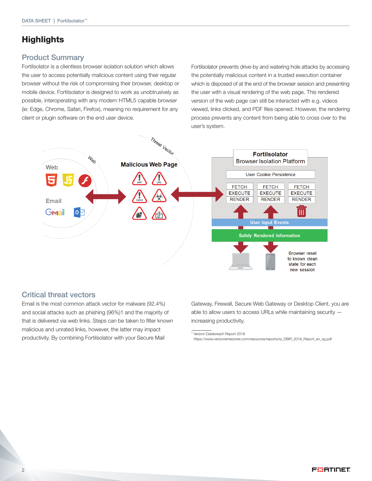# **Highlights**

### Product Summary

Fortilsolator is a clientless browser isolation solution which allows the user to access potentially malicious content using their regular browser without the risk of compromising their browser, desktop or mobile device. FortiIsolator is designed to work as unobtrusively as possible, interoperating with any modern HTML5 capable browser (ie: Edge, Chrome, Safari, Firefox), meaning no requirement for any client or plugin software on the end user device.

Fortilsolator prevents drive-by and watering hole attacks by accessing the potentially malicious content in a trusted execution container which is disposed of at the end of the browser session and presenting the user with a visual rendering of the web page. This rendered version of the web page can still be interacted with e.g. videos viewed, links clicked, and PDF files opened. However, the rendering process prevents any content from being able to cross over to the user's system.



### Critical threat vectors

Email is the most common attack vector for malware (92.4%) and social attacks such as phishing (96%)1 and the majority of that is delivered via web links. Steps can be taken to filter known malicious and unrated links, however, the latter may impact productivity. By combining FortiIsolator with your Secure Mail

Gateway, Firewall, Secure Web Gateway or Desktop Client, you are able to allow users to access URLs while maintaining security increasing productivity.

<sup>1</sup> Verizon Databreach Report 2018

https://www.verizonenterprise.com/resources/reports/rp\_DBIR\_2018\_Report\_en\_xg.pdf